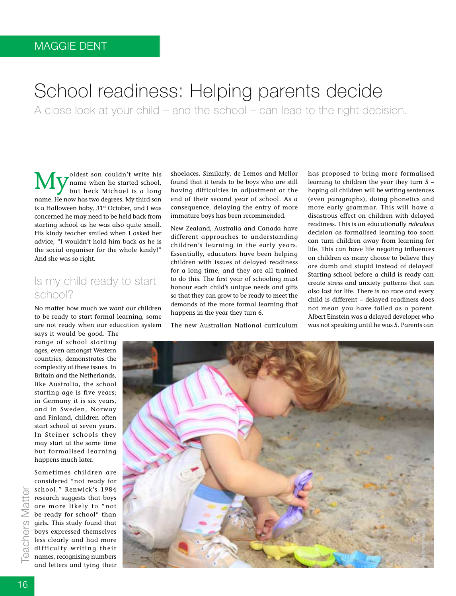# School readiness: Helping parents decide

A close look at your child – and the school – can lead to the right decision.

**My** oldest son couldn't write his but heck Michael is a long name when he started school, but heck Michael is a long name. He now has two degrees. My third son is a Halloween baby, 31<sup>st</sup> October, and I was concerned he may need to be held back from starting school as he was also quite small. His kindy teacher smiled when I asked her advice, "I wouldn't hold him back as he is the social organiser for the whole kindy!" And she was so right.

# Is my child ready to start school?

No matter how much we want our children to be ready to start formal learning, some are not ready when our education system says it would be good. The

range of school starting ages, even amongst Western countries, demonstrates the complexity of these issues. In Britain and the Netherlands, like Australia, the school starting age is five years; in Germany it is six years, and in Sweden, Norway and Finland, children often start school at seven years. In Steiner schools they may start at the same time but formalised learning happens much later.

Sometimes children are considered "not ready for school." Renwick's 1984 research suggests that boys are more likely to "not be ready for school" than girls**.** This study found that boys expressed themselves less clearly and had more difficulty writing their names, recognising numbers and letters and tying their shoelaces. Similarly, de Lemos and Mellor found that it tends to be boys who are still having difficulties in adjustment at the end of their second year of school. As a consequence, delaying the entry of more immature boys has been recommended.

New Zealand, Australia and Canada have different approaches to understanding children's learning in the early years. Essentially, educators have been helping children with issues of delayed readiness for a long time, and they are all trained to do this. The first year of schooling must honour each child's unique needs and gifts so that they can grow to be ready to meet the demands of the more formal learning that happens in the year they turn 6.

The new Australian National curriculum

has proposed to bring more formalised learning to children the year they turn 5 – hoping all children will be writing sentences (even paragraphs), doing phonetics and more early grammar. This will have a disastrous effect on children with delayed readiness. This is an educationally *ridiculous* decision as formalised learning too soon can turn children away from learning for life. This can have life negating influences on children as many choose to believe they are dumb and stupid instead of delayed! Starting school before a child is ready can create stress and anxiety patterns that can also last for life. There is no race and every child is different – delayed readiness does not mean you have failed as a parent. Albert Einstein was a delayed developer who was not speaking until he was 5. Parents can